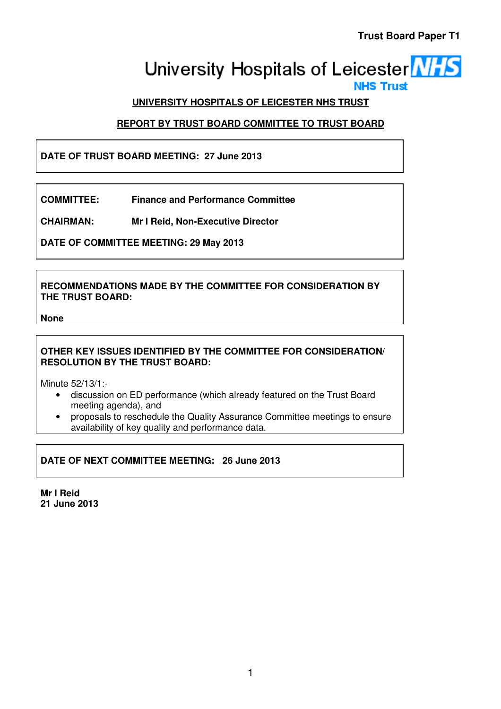# University Hospitals of Leicester **NHS**

## **UNIVERSITY HOSPITALS OF LEICESTER NHS TRUST**

# **REPORT BY TRUST BOARD COMMITTEE TO TRUST BOARD**

# **DATE OF TRUST BOARD MEETING: 27 June 2013**

**COMMITTEE: Finance and Performance Committee** 

**CHAIRMAN: Mr I Reid, Non-Executive Director** 

**DATE OF COMMITTEE MEETING: 29 May 2013** 

**RECOMMENDATIONS MADE BY THE COMMITTEE FOR CONSIDERATION BY THE TRUST BOARD:** 

**None** 

## **OTHER KEY ISSUES IDENTIFIED BY THE COMMITTEE FOR CONSIDERATION/ RESOLUTION BY THE TRUST BOARD:**

Minute 52/13/1:-

- discussion on ED performance (which already featured on the Trust Board meeting agenda), and
- proposals to reschedule the Quality Assurance Committee meetings to ensure availability of key quality and performance data.

**DATE OF NEXT COMMITTEE MEETING: 26 June 2013** 

**Mr I Reid 21 June 2013**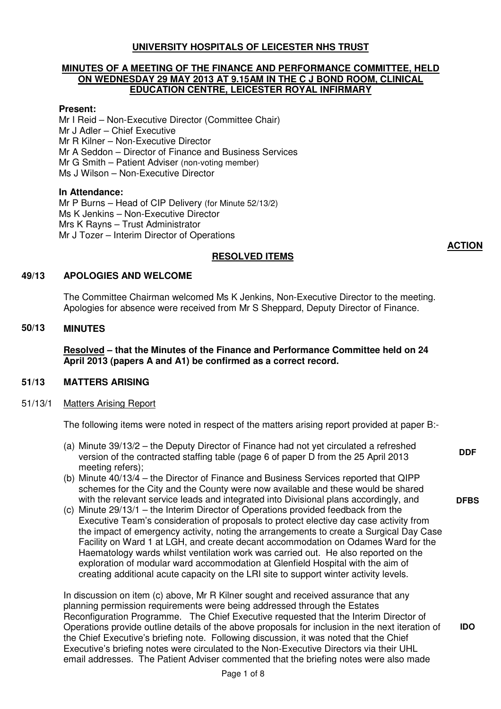## **UNIVERSITY HOSPITALS OF LEICESTER NHS TRUST**

## **MINUTES OF A MEETING OF THE FINANCE AND PERFORMANCE COMMITTEE, HELD ON WEDNESDAY 29 MAY 2013 AT 9.15AM IN THE C J BOND ROOM, CLINICAL EDUCATION CENTRE, LEICESTER ROYAL INFIRMARY**

## **Present:**

Mr I Reid – Non-Executive Director (Committee Chair) Mr J Adler – Chief Executive Mr R Kilner – Non-Executive Director Mr A Seddon – Director of Finance and Business Services Mr G Smith – Patient Adviser (non-voting member) Ms J Wilson – Non-Executive Director

#### **In Attendance:**

Mr P Burns – Head of CIP Delivery (for Minute 52/13/2) Ms K Jenkins – Non-Executive Director Mrs K Rayns – Trust Administrator Mr J Tozer – Interim Director of Operations

#### **RESOLVED ITEMS**

#### **49/13 APOLOGIES AND WELCOME**

The Committee Chairman welcomed Ms K Jenkins, Non-Executive Director to the meeting. Apologies for absence were received from Mr S Sheppard, Deputy Director of Finance.

## **50/13 MINUTES**

**Resolved – that the Minutes of the Finance and Performance Committee held on 24 April 2013 (papers A and A1) be confirmed as a correct record.** 

## **51/13 MATTERS ARISING**

#### 51/13/1 Matters Arising Report

The following items were noted in respect of the matters arising report provided at paper B:-

- (a) Minute 39/13/2 the Deputy Director of Finance had not yet circulated a refreshed version of the contracted staffing table (page 6 of paper D from the 25 April 2013 meeting refers);
- (b) Minute 40/13/4 the Director of Finance and Business Services reported that QIPP schemes for the City and the County were now available and these would be shared with the relevant service leads and integrated into Divisional plans accordingly, and
- (c) Minute 29/13/1 the Interim Director of Operations provided feedback from the Executive Team's consideration of proposals to protect elective day case activity from the impact of emergency activity, noting the arrangements to create a Surgical Day Case Facility on Ward 1 at LGH, and create decant accommodation on Odames Ward for the Haematology wards whilst ventilation work was carried out. He also reported on the exploration of modular ward accommodation at Glenfield Hospital with the aim of creating additional acute capacity on the LRI site to support winter activity levels.

In discussion on item (c) above, Mr R Kilner sought and received assurance that any planning permission requirements were being addressed through the Estates Reconfiguration Programme. The Chief Executive requested that the Interim Director of Operations provide outline details of the above proposals for inclusion in the next iteration of the Chief Executive's briefing note. Following discussion, it was noted that the Chief Executive's briefing notes were circulated to the Non-Executive Directors via their UHL email addresses. The Patient Adviser commented that the briefing notes were also made

**ACTION**

**DFBS** 

**IDO** 

**DDF**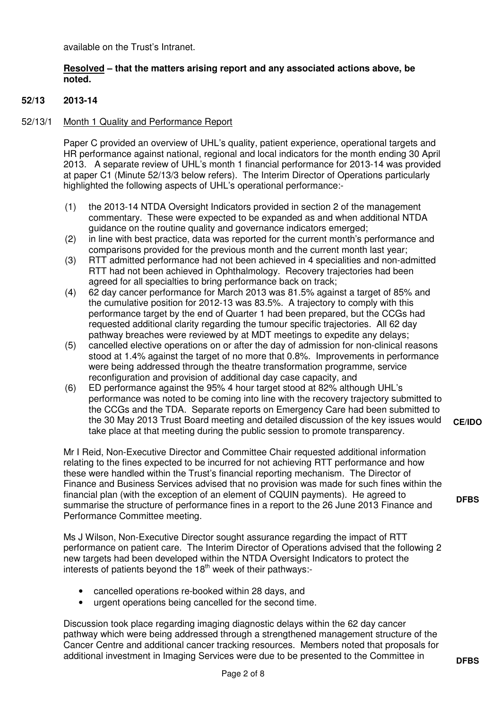available on the Trust's Intranet.

## **Resolved – that the matters arising report and any associated actions above, be noted.**

## **52/13 2013-14**

## 52/13/1 Month 1 Quality and Performance Report

Paper C provided an overview of UHL's quality, patient experience, operational targets and HR performance against national, regional and local indicators for the month ending 30 April 2013. A separate review of UHL's month 1 financial performance for 2013-14 was provided at paper C1 (Minute 52/13/3 below refers). The Interim Director of Operations particularly highlighted the following aspects of UHL's operational performance:-

- (1) the 2013-14 NTDA Oversight Indicators provided in section 2 of the management commentary. These were expected to be expanded as and when additional NTDA guidance on the routine quality and governance indicators emerged;
- (2) in line with best practice, data was reported for the current month's performance and comparisons provided for the previous month and the current month last year;
- (3) RTT admitted performance had not been achieved in 4 specialities and non-admitted RTT had not been achieved in Ophthalmology. Recovery trajectories had been agreed for all specialties to bring performance back on track;
- (4) 62 day cancer performance for March 2013 was 81.5% against a target of 85% and the cumulative position for 2012-13 was 83.5%. A trajectory to comply with this performance target by the end of Quarter 1 had been prepared, but the CCGs had requested additional clarity regarding the tumour specific trajectories. All 62 day pathway breaches were reviewed by at MDT meetings to expedite any delays;
- (5) cancelled elective operations on or after the day of admission for non-clinical reasons stood at 1.4% against the target of no more that 0.8%. Improvements in performance were being addressed through the theatre transformation programme, service reconfiguration and provision of additional day case capacity, and
- (6) ED performance against the 95% 4 hour target stood at 82% although UHL's performance was noted to be coming into line with the recovery trajectory submitted to the CCGs and the TDA. Separate reports on Emergency Care had been submitted to the 30 May 2013 Trust Board meeting and detailed discussion of the key issues would take place at that meeting during the public session to promote transparency. **CE/IDO**

Mr I Reid, Non-Executive Director and Committee Chair requested additional information relating to the fines expected to be incurred for not achieving RTT performance and how these were handled within the Trust's financial reporting mechanism. The Director of Finance and Business Services advised that no provision was made for such fines within the financial plan (with the exception of an element of CQUIN payments). He agreed to summarise the structure of performance fines in a report to the 26 June 2013 Finance and Performance Committee meeting.

Ms J Wilson, Non-Executive Director sought assurance regarding the impact of RTT performance on patient care. The Interim Director of Operations advised that the following 2 new targets had been developed within the NTDA Oversight Indicators to protect the interests of patients beyond the  $18<sup>th</sup>$  week of their pathways:-

- cancelled operations re-booked within 28 days, and
- urgent operations being cancelled for the second time.

Discussion took place regarding imaging diagnostic delays within the 62 day cancer pathway which were being addressed through a strengthened management structure of the Cancer Centre and additional cancer tracking resources. Members noted that proposals for additional investment in Imaging Services were due to be presented to the Committee in

**DFBS**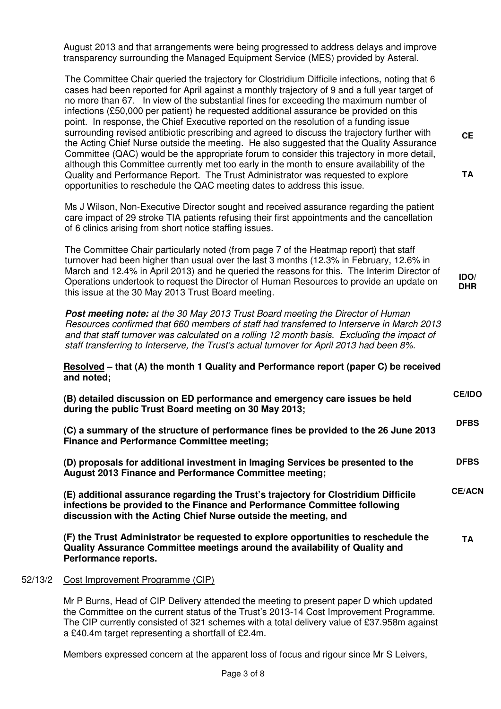August 2013 and that arrangements were being progressed to address delays and improve transparency surrounding the Managed Equipment Service (MES) provided by Asteral. The Committee Chair queried the trajectory for Clostridium Difficile infections, noting that 6 cases had been reported for April against a monthly trajectory of 9 and a full year target of no more than 67. In view of the substantial fines for exceeding the maximum number of infections (£50,000 per patient) he requested additional assurance be provided on this point. In response, the Chief Executive reported on the resolution of a funding issue surrounding revised antibiotic prescribing and agreed to discuss the trajectory further with the Acting Chief Nurse outside the meeting. He also suggested that the Quality Assurance Committee (QAC) would be the appropriate forum to consider this trajectory in more detail, although this Committee currently met too early in the month to ensure availability of the Quality and Performance Report. The Trust Administrator was requested to explore opportunities to reschedule the QAC meeting dates to address this issue. **CE TA**  Ms J Wilson, Non-Executive Director sought and received assurance regarding the patient care impact of 29 stroke TIA patients refusing their first appointments and the cancellation of 6 clinics arising from short notice staffing issues. The Committee Chair particularly noted (from page 7 of the Heatmap report) that staff turnover had been higher than usual over the last 3 months (12.3% in February, 12.6% in March and 12.4% in April 2013) and he queried the reasons for this. The Interim Director of Operations undertook to request the Director of Human Resources to provide an update on this issue at the 30 May 2013 Trust Board meeting. **IDO/ DHR Post meeting note:** at the 30 May 2013 Trust Board meeting the Director of Human Resources confirmed that 660 members of staff had transferred to Interserve in March 2013 and that staff turnover was calculated on a rolling 12 month basis. Excluding the impact of

**Resolved – that (A) the month 1 Quality and Performance report (paper C) be received and noted;** 

staff transferring to Interserve, the Trust's actual turnover for April 2013 had been 8%.

| (B) detailed discussion on ED performance and emergency care issues be held<br>during the public Trust Board meeting on 30 May 2013;     | <b>GE/IDO</b> |
|------------------------------------------------------------------------------------------------------------------------------------------|---------------|
| (C) a summary of the structure of performance fines be provided to the 26 June 2013<br><b>Finance and Performance Committee meeting;</b> |               |

**CE/IDO** 

**(D) proposals for additional investment in Imaging Services be presented to the August 2013 Finance and Performance Committee meeting; DFBS** 

**(E) additional assurance regarding the Trust's trajectory for Clostridium Difficile infections be provided to the Finance and Performance Committee following discussion with the Acting Chief Nurse outside the meeting, and CE/ACN** 

**(F) the Trust Administrator be requested to explore opportunities to reschedule the Quality Assurance Committee meetings around the availability of Quality and Performance reports. TA** 

## 52/13/2 Cost Improvement Programme (CIP)

Mr P Burns, Head of CIP Delivery attended the meeting to present paper D which updated the Committee on the current status of the Trust's 2013-14 Cost Improvement Programme. The CIP currently consisted of 321 schemes with a total delivery value of £37.958m against a £40.4m target representing a shortfall of £2.4m.

Members expressed concern at the apparent loss of focus and rigour since Mr S Leivers,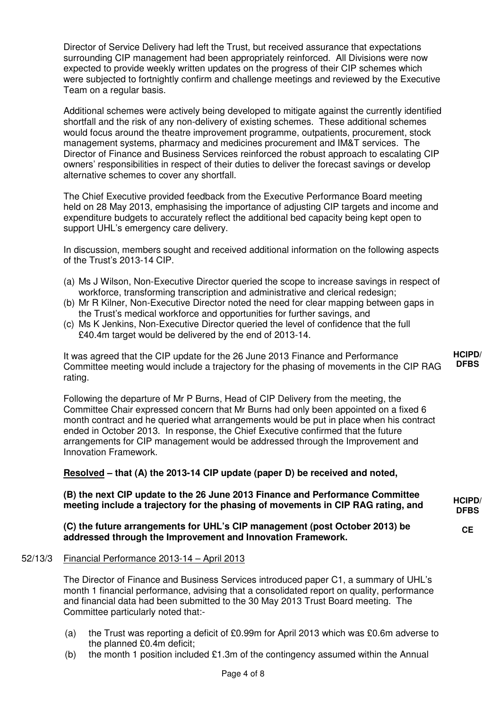Director of Service Delivery had left the Trust, but received assurance that expectations surrounding CIP management had been appropriately reinforced. All Divisions were now expected to provide weekly written updates on the progress of their CIP schemes which were subjected to fortnightly confirm and challenge meetings and reviewed by the Executive Team on a regular basis.

Additional schemes were actively being developed to mitigate against the currently identified shortfall and the risk of any non-delivery of existing schemes. These additional schemes would focus around the theatre improvement programme, outpatients, procurement, stock management systems, pharmacy and medicines procurement and IM&T services. The Director of Finance and Business Services reinforced the robust approach to escalating CIP owners' responsibilities in respect of their duties to deliver the forecast savings or develop alternative schemes to cover any shortfall.

The Chief Executive provided feedback from the Executive Performance Board meeting held on 28 May 2013, emphasising the importance of adjusting CIP targets and income and expenditure budgets to accurately reflect the additional bed capacity being kept open to support UHL's emergency care delivery.

In discussion, members sought and received additional information on the following aspects of the Trust's 2013-14 CIP.

- (a) Ms J Wilson, Non-Executive Director queried the scope to increase savings in respect of workforce, transforming transcription and administrative and clerical redesign;
- (b) Mr R Kilner, Non-Executive Director noted the need for clear mapping between gaps in the Trust's medical workforce and opportunities for further savings, and
- (c) Ms K Jenkins, Non-Executive Director queried the level of confidence that the full £40.4m target would be delivered by the end of 2013-14.

It was agreed that the CIP update for the 26 June 2013 Finance and Performance Committee meeting would include a trajectory for the phasing of movements in the CIP RAG rating. **HCIPD/ DFBS** 

Following the departure of Mr P Burns, Head of CIP Delivery from the meeting, the Committee Chair expressed concern that Mr Burns had only been appointed on a fixed 6 month contract and he queried what arrangements would be put in place when his contract ended in October 2013. In response, the Chief Executive confirmed that the future arrangements for CIP management would be addressed through the Improvement and Innovation Framework.

## **Resolved – that (A) the 2013-14 CIP update (paper D) be received and noted,**

**(B) the next CIP update to the 26 June 2013 Finance and Performance Committee meeting include a trajectory for the phasing of movements in CIP RAG rating, and HCIPD/ DFBS** 

**CE** 

**(C) the future arrangements for UHL's CIP management (post October 2013) be addressed through the Improvement and Innovation Framework.** 

## 52/13/3 Financial Performance 2013-14 – April 2013

The Director of Finance and Business Services introduced paper C1, a summary of UHL's month 1 financial performance, advising that a consolidated report on quality, performance and financial data had been submitted to the 30 May 2013 Trust Board meeting. The Committee particularly noted that:-

- (a) the Trust was reporting a deficit of £0.99m for April 2013 which was £0.6m adverse to the planned £0.4m deficit;
- (b) the month 1 position included  $£1.3m$  of the contingency assumed within the Annual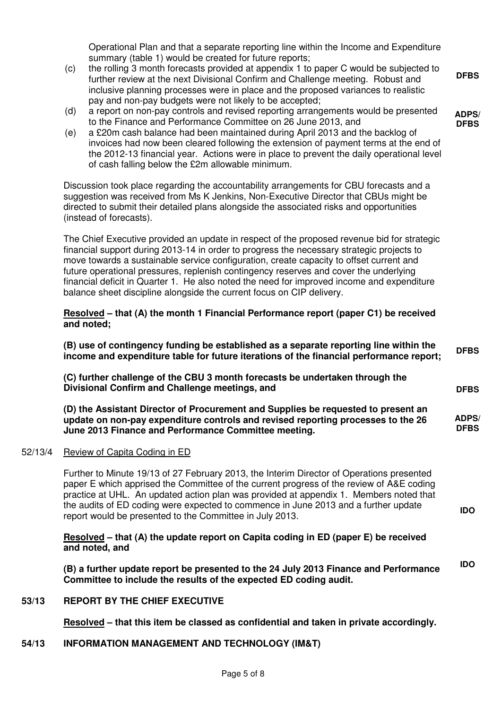Operational Plan and that a separate reporting line within the Income and Expenditure summary (table 1) would be created for future reports;

**DFBS** 

**ADPS/ DFBS** 

**DFBS** 

- (c) the rolling 3 month forecasts provided at appendix 1 to paper C would be subjected to further review at the next Divisional Confirm and Challenge meeting. Robust and inclusive planning processes were in place and the proposed variances to realistic pay and non-pay budgets were not likely to be accepted;
- (d) a report on non-pay controls and revised reporting arrangements would be presented to the Finance and Performance Committee on 26 June 2013, and
- (e) a £20m cash balance had been maintained during April 2013 and the backlog of invoices had now been cleared following the extension of payment terms at the end of the 2012-13 financial year. Actions were in place to prevent the daily operational level of cash falling below the £2m allowable minimum.

Discussion took place regarding the accountability arrangements for CBU forecasts and a suggestion was received from Ms K Jenkins, Non-Executive Director that CBUs might be directed to submit their detailed plans alongside the associated risks and opportunities (instead of forecasts).

The Chief Executive provided an update in respect of the proposed revenue bid for strategic financial support during 2013-14 in order to progress the necessary strategic projects to move towards a sustainable service configuration, create capacity to offset current and future operational pressures, replenish contingency reserves and cover the underlying financial deficit in Quarter 1. He also noted the need for improved income and expenditure balance sheet discipline alongside the current focus on CIP delivery.

**Resolved – that (A) the month 1 Financial Performance report (paper C1) be received and noted;** 

**(B) use of contingency funding be established as a separate reporting line within the income and expenditure table for future iterations of the financial performance report; DFBS** 

**(C) further challenge of the CBU 3 month forecasts be undertaken through the Divisional Confirm and Challenge meetings, and** 

**(D) the Assistant Director of Procurement and Supplies be requested to present an update on non-pay expenditure controls and revised reporting processes to the 26 June 2013 Finance and Performance Committee meeting. ADPS/ DFBS** 

52/13/4 Review of Capita Coding in ED

Further to Minute 19/13 of 27 February 2013, the Interim Director of Operations presented paper E which apprised the Committee of the current progress of the review of A&E coding practice at UHL. An updated action plan was provided at appendix 1. Members noted that the audits of ED coding were expected to commence in June 2013 and a further update report would be presented to the Committee in July 2013.

**Resolved – that (A) the update report on Capita coding in ED (paper E) be received and noted, and** 

**(B) a further update report be presented to the 24 July 2013 Finance and Performance Committee to include the results of the expected ED coding audit. IDO** 

**53/13 REPORT BY THE CHIEF EXECUTIVE** 

**Resolved – that this item be classed as confidential and taken in private accordingly.** 

## **54/13 INFORMATION MANAGEMENT AND TECHNOLOGY (IM&T)**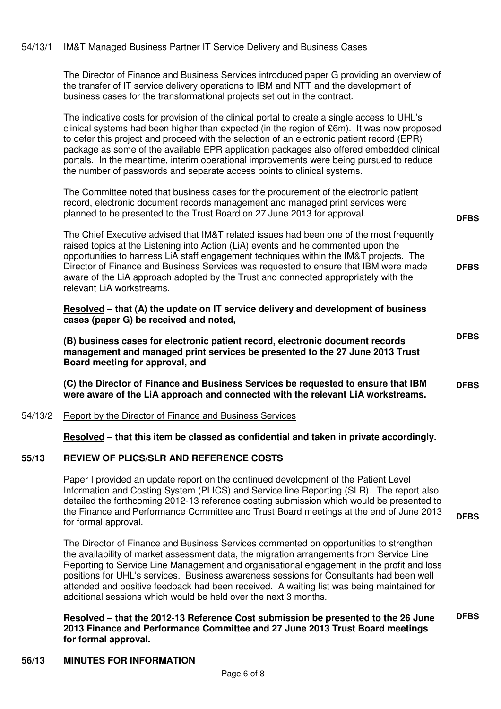## 54/13/1 IM&T Managed Business Partner IT Service Delivery and Business Cases

The Director of Finance and Business Services introduced paper G providing an overview of the transfer of IT service delivery operations to IBM and NTT and the development of business cases for the transformational projects set out in the contract.

The indicative costs for provision of the clinical portal to create a single access to UHL's clinical systems had been higher than expected (in the region of £6m). It was now proposed to defer this project and proceed with the selection of an electronic patient record (EPR) package as some of the available EPR application packages also offered embedded clinical portals. In the meantime, interim operational improvements were being pursued to reduce the number of passwords and separate access points to clinical systems.

The Committee noted that business cases for the procurement of the electronic patient record, electronic document records management and managed print services were planned to be presented to the Trust Board on 27 June 2013 for approval.

The Chief Executive advised that IM&T related issues had been one of the most frequently raised topics at the Listening into Action (LiA) events and he commented upon the opportunities to harness LiA staff engagement techniques within the IM&T projects. The Director of Finance and Business Services was requested to ensure that IBM were made aware of the LiA approach adopted by the Trust and connected appropriately with the relevant LiA workstreams. **DFBS** 

**DFBS** 

**DFBS** 

**DFBS** 

**Resolved – that (A) the update on IT service delivery and development of business cases (paper G) be received and noted,** 

**(B) business cases for electronic patient record, electronic document records management and managed print services be presented to the 27 June 2013 Trust Board meeting for approval, and** 

**(C) the Director of Finance and Business Services be requested to ensure that IBM were aware of the LiA approach and connected with the relevant LiA workstreams. DFBS** 

#### 54/13/2 Report by the Director of Finance and Business Services

**Resolved – that this item be classed as confidential and taken in private accordingly.** 

#### **55/13 REVIEW OF PLICS/SLR AND REFERENCE COSTS**

Paper I provided an update report on the continued development of the Patient Level Information and Costing System (PLICS) and Service line Reporting (SLR). The report also detailed the forthcoming 2012-13 reference costing submission which would be presented to the Finance and Performance Committee and Trust Board meetings at the end of June 2013 for formal approval.

The Director of Finance and Business Services commented on opportunities to strengthen the availability of market assessment data, the migration arrangements from Service Line Reporting to Service Line Management and organisational engagement in the profit and loss positions for UHL's services. Business awareness sessions for Consultants had been well attended and positive feedback had been received. A waiting list was being maintained for additional sessions which would be held over the next 3 months.

#### **Resolved – that the 2012-13 Reference Cost submission be presented to the 26 June 2013 Finance and Performance Committee and 27 June 2013 Trust Board meetings for formal approval. DFBS**

## **56/13 MINUTES FOR INFORMATION**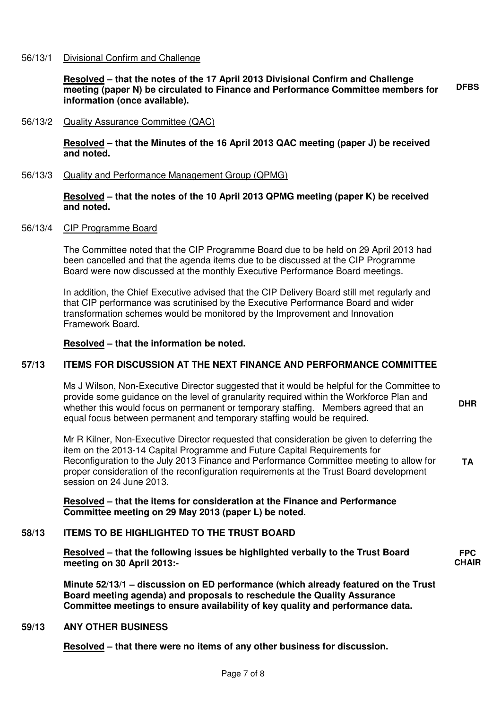#### 56/13/1 Divisional Confirm and Challenge

**Resolved – that the notes of the 17 April 2013 Divisional Confirm and Challenge meeting (paper N) be circulated to Finance and Performance Committee members for information (once available). DFBS** 

#### 56/13/2 Quality Assurance Committee (QAC)

**Resolved – that the Minutes of the 16 April 2013 QAC meeting (paper J) be received and noted.** 

56/13/3 Quality and Performance Management Group (QPMG)

#### **Resolved – that the notes of the 10 April 2013 QPMG meeting (paper K) be received and noted.**

#### 56/13/4 CIP Programme Board

The Committee noted that the CIP Programme Board due to be held on 29 April 2013 had been cancelled and that the agenda items due to be discussed at the CIP Programme Board were now discussed at the monthly Executive Performance Board meetings.

In addition, the Chief Executive advised that the CIP Delivery Board still met regularly and that CIP performance was scrutinised by the Executive Performance Board and wider transformation schemes would be monitored by the Improvement and Innovation Framework Board.

#### **Resolved – that the information be noted.**

#### **57/13 ITEMS FOR DISCUSSION AT THE NEXT FINANCE AND PERFORMANCE COMMITTEE**

Ms J Wilson, Non-Executive Director suggested that it would be helpful for the Committee to provide some guidance on the level of granularity required within the Workforce Plan and whether this would focus on permanent or temporary staffing. Members agreed that an equal focus between permanent and temporary staffing would be required.

**DHR** 

**FPC CHAIR** 

Mr R Kilner, Non-Executive Director requested that consideration be given to deferring the item on the 2013-14 Capital Programme and Future Capital Requirements for Reconfiguration to the July 2013 Finance and Performance Committee meeting to allow for proper consideration of the reconfiguration requirements at the Trust Board development session on 24 June 2013. **TA** 

**Resolved – that the items for consideration at the Finance and Performance Committee meeting on 29 May 2013 (paper L) be noted.** 

#### **58/13 ITEMS TO BE HIGHLIGHTED TO THE TRUST BOARD**

**Resolved – that the following issues be highlighted verbally to the Trust Board meeting on 30 April 2013:-** 

**Minute 52/13/1 – discussion on ED performance (which already featured on the Trust Board meeting agenda) and proposals to reschedule the Quality Assurance Committee meetings to ensure availability of key quality and performance data.** 

#### **59/13 ANY OTHER BUSINESS**

**Resolved – that there were no items of any other business for discussion.**